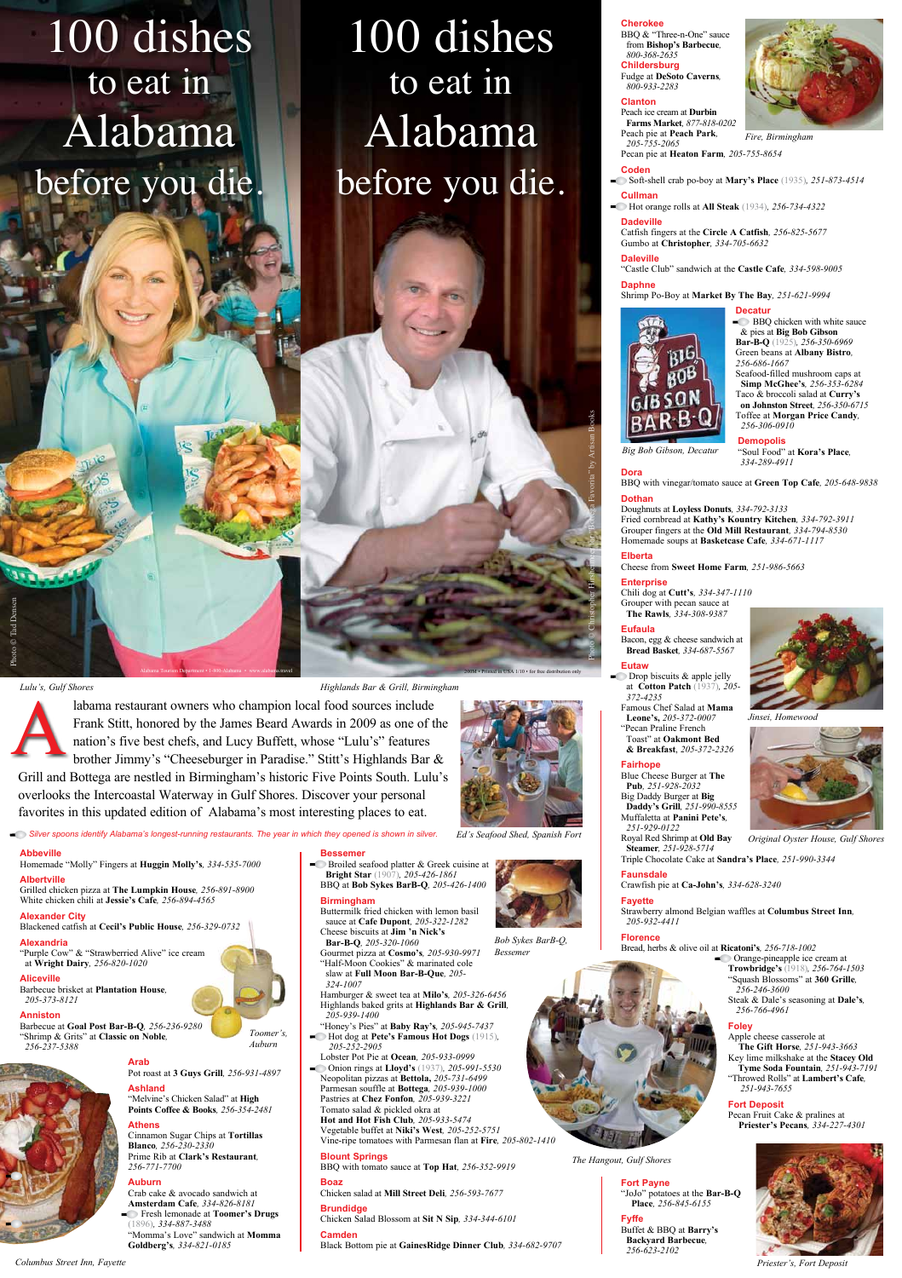A

**Bessemer**  $\blacksquare$  Broiled seafood platter & Greek cuisine at **Bright Star** (1907)*, 205-426-1861* BBQ at **Bob Sykes BarB-Q***, 205-426-1400*

**Birmingham**

Buttermilk fried chicken with lemon basil

sauce at **Cafe Dupont***, 205-322-1282* Cheese biscuits at **Jim 'n Nick's** 

Hamburger & sweet tea at **Milo's***, 205-326-6456* Highlands baked grits at **Highlands Bar & Grill***, 205-939-1400*

- "Honey's Pies" at **Baby Ray's***, 205-945-7437*
- Hot dog at **Pete's Famous Hot Dogs** (1915)*, 205-252-2905*

Lobster Pot Pie at **Ocean***, 205-933-0999*

Onion rings at **Lloyd's** (1937)*, 205-991-5530* Neopolitan pizzas at **Bettola,** *205-731-6499*  Parmesan souffle at **Bottega***, 205-939-1000* Pastries at **Chez Fonfon***, 205-939-3221* Tomato salad & pickled okra at **Hot and Hot Fish Club***, 205-933-5474* Vegetable buffet at **Niki's West***, 205-252-5751* Vine-ripe tomatoes with Parmesan flan at **Fire***, 205-802-1410*

## **Blount Springs**

BBQ with tomato sauce at **Top Hat***, 256-352-9919*

## **Boaz**

Chicken salad at **Mill Street Deli***, 256-593-7677*

**BBQ** chicken with white sauce & pies at **Big Bob Gibson Bar-B-Q** (1925)*, 256-350-6969* Green beans at **Albany Bistro***, 256-686-1667* Seafood-filled mushroom caps at **Simp McGhee's***, 256-353-6284* Taco & broccoli salad at **Curry's on Johnston Street***, 256-350-6715* Toffee at **Morgan Price Candy***, 256-306-0910*

## **Brundidge**

Chicken Salad Blossom at **Sit N Sip***, 334-344-6101*

**Camden** Black Bottom pie at **GainesRidge Dinner Club***, 334-682-9707*

**Cherokee**

BBQ & "Three-n-One" sauce from **Bishop's Barbecue***, 800-368-2635* **Childersburg** Fudge at **DeSoto Caverns***, 800-933-2283*

## **Clanton**

Peach ice cream at **Durbin Farms Market***, 877-818-0202* Peach pie at **Peach Park***, 205-755-2065* Pecan pie at **Heaton Farm***, 205-755-8654*



- Drop biscuits & apple jelly at **Cotton Patch** (1937)*, 205- 372-4235*
- **Leone's,** *205-372-0007*
- Toast" at **Oakmont Bed**

## **Coden**

 Soft-shell crab po-boy at **Mary's Place** (1935)*, 251-873-4514* **Cullman**

Hot orange rolls at **All Steak** (1934)*, 256-734-4322*

## **Dadeville**

Catfish fingers at the **Circle A Catfish***, 256-825-5677* Gumbo at **Christopher***, 334-705-6632*

## **Daleville**

"Castle Club" sandwich at the **Castle Cafe***, 334-598-9005*

**Orange-pineapple ice cream at Trowbridge's** (1918)*, 256-764-1503* "Squash Blossoms" at **360 Grille***, 256-246-3600* Steak & Dale's seasoning at **Dale's***, 256-766-4961*

## **Daphne**

Shrimp Po-Boy at **Market By The Bay***, 251-621-9994*





**Demopolis** "Soul Food" at **Kora's Place***, 334-289-4911*

# **Dora**

BBQ with vinegar/tomato sauce at **Green Top Cafe***, 205-648-9838*

## **Dothan**

Doughnuts at **Loyless Donuts***, 334-792-3133* Fried cornbread at **Kathy's Kountry Kitchen***, 334-792-3911* Grouper fingers at the **Old Mill Restaurant***, 334-794-8530* Homemade soups at **Basketcase Cafe***, 334-671-1117* 

## **Elberta**

Cheese from **Sweet Home Farm***, 251-986-5663*

## **Enterprise**

Chili dog at **Cutt's***, 334-347-1110* Grouper with pecan sauce at **The Rawls***, 334-308-9387*

## **Eufaula**

Bacon, egg & cheese sandwich at **Bread Basket***, 334-687-5567*

Famous Chef Salad at **Mama**  "Pecan Praline French

# **& Breakfast**, *205-372-2326*

## **Fairhope**

Blue Cheese Burger at **The Pub***, 251-928-2032* Big Daddy Burger at **Big Daddy's Grill***, 251-990-8555* Muffaletta at **Panini Pete's***, 251-929-0122*

**Bar-B-Q***, 205-320-1060* Gourmet pizza at **Cosmo's***, 205-930-9971* "Half-Moon Cookies" & marinated cole slaw at **Full Moon Bar-B-Que***, 205- 324-1007 Bessemer*

# Triple Chocolate Cake at **Sandra's Place***, 251-990-3344*

**Faunsdale**

Crawfish pie at **Ca-John's***, 334-628-3240*

# **Fayette**

Strawberry almond Belgian waffles at **Columbus Street Inn***, 205-932-4411*

**Florence**



Bread, herbs & olive oil at **Ricatoni's***, 256-718-1002*



## **Foley**

Apple cheese casserole at **The Gift Horse***, 251-943-3663* Key lime milkshake at the **Stacey Old Tyme Soda Fountain***, 251-943-7191* "Throwed Rolls" at **Lambert's Cafe***, 251-943-7655*

## **Fort Deposit**

Pecan Fruit Cake & pralines at **Priester's Pecans***, 334-227-4301*



**Fort Payne** "JoJo" potatoes at the **Bar-B-Q Place***, 256-845-6155*

## **Fyffe**

Buffet & BBQ at **Barry's Backyard Barbecue***, 256-623-2102*

**Abbeville**

Homemade "Molly" Fingers at **Huggin Molly's***, 334-535-7000*

**Albertville** Grilled chicken pizza at **The Lumpkin House***, 256-891-8900* White chicken chili at **Jessie's Cafe***, 256-894-4565*

**Alexander City**

Blackened catfish at **Cecil's Public House***, 256-329-0732*

## **Alexandria**

"Purple Cow" & "Strawberried Alive" ice cream at **Wright Dairy***, 256-820-1020*

## **Aliceville**

Barbecue brisket at **Plantation House***, 205-373-8121*

## **Anniston**

**Eutaw** 200M • Printed in USA 1/10 • for free distribution only Photo © Christopher Hirsheimeer for "Bottega Favorita" by Artisan Books

Barbecue at **Goal Post Bar-B-Q***, 256-236-9280* "Shrimp & Grits" at **Classic on Noble***, 256-237-5388*



## **Arab**

Pot roast at **3 Guys Grill***, 256-931-4897*

## **Ashland**

Royal Red Shrimp at **Old Bay Steamer***, 251-928-5714 Original Oyster House, Gulf Shores*

"Melvine's Chicken Salad" at **High Points Coffee & Books***, 256-354-2481*

## **Athens**

Cinnamon Sugar Chips at **Tortillas Blanco***, 256-230-2330* Prime Rib at **Clark's Restaurant***, 256-771-7700* 

## **Auburn**

Crab cake & avocado sandwich at **Amsterdam Cafe***, 334-826-8181* Fresh lemonade at **Toomer's Drugs** (1896)*, 334-887-3488* "Momma's Love" sandwich at **Momma Goldberg's***, 334-821-0185* 

labama restaurant owners who champion local food sources include Frank Stitt, honored by the James Beard Awards in 2009 as one of the nation's five best chefs, and Lucy Buffett, whose "Lulu's" features brother Jimmy's "Cheeseburger in Paradise." Stitt's Highlands Bar &

Grill and Bottega are nestled in Birmingham's historic Five Points South. Lulu's

overlooks the Intercoastal Waterway in Gulf Shores. Discover your personal favorites in this updated edition of Alabama's most interesting places to eat.

*Columbus Street Inn, Fayette*

*Lulu's, Gulf Shores Highlands Bar & Grill, Birmingham*

Alabama Tourism Department • 1-800-Alabama • www.alabama.travel

## *Silver spoons identify Alabama's longest-running restaurants. The year in which they opened is shown in silver. Ed's Seafood Shed, Spanish Fort*

*Fire, Birmingham*

*Priester's, Fort Deposit*

*Big Bob Gibson, Decatur*

*Toomer's, Auburn*

*The Hangout, Gulf Shores*

*Bob Sykes BarB-Q,*

100 dishes to eat in Alabama before you die.

# 100 dishes to eat in Alabama before you die.

*Jinsei, Homewood*



Photo © Tad Densen